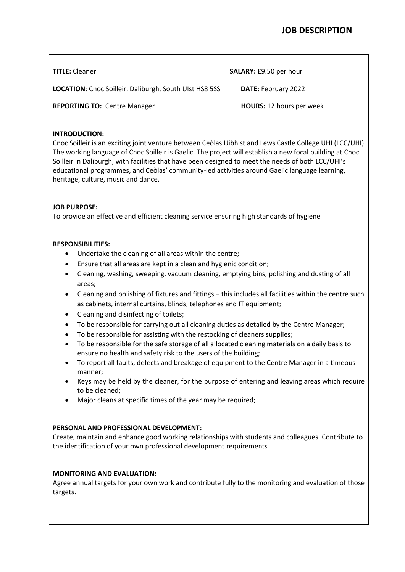| <b>TITLE:</b> Cleaner                                         | <b>SALARY: £9.50 per hour</b>   |
|---------------------------------------------------------------|---------------------------------|
| <b>LOCATION:</b> Cnoc Soilleir, Daliburgh, South UIst HS8 5SS | <b>DATE: February 2022</b>      |
| <b>REPORTING TO: Centre Manager</b>                           | <b>HOURS:</b> 12 hours per week |

# **INTRODUCTION:**

Cnoc Soilleir is an exciting joint venture between Ceòlas Uibhist and Lews Castle College UHI (LCC/UHI) The working language of Cnoc Soilleir is Gaelic. The project will establish a new focal building at Cnoc Soilleir in Daliburgh, with facilities that have been designed to meet the needs of both LCC/UHI's educational programmes, and Ceòlas' community-led activities around Gaelic language learning, heritage, culture, music and dance.

# **JOB PURPOSE:**

To provide an effective and efficient cleaning service ensuring high standards of hygiene

#### **RESPONSIBILITIES:**

- Undertake the cleaning of all areas within the centre;
- Ensure that all areas are kept in a clean and hygienic condition;
- Cleaning, washing, sweeping, vacuum cleaning, emptying bins, polishing and dusting of all areas;
- Cleaning and polishing of fixtures and fittings this includes all facilities within the centre such as cabinets, internal curtains, blinds, telephones and IT equipment;
- Cleaning and disinfecting of toilets;
- To be responsible for carrying out all cleaning duties as detailed by the Centre Manager;
- To be responsible for assisting with the restocking of cleaners supplies;
- To be responsible for the safe storage of all allocated cleaning materials on a daily basis to ensure no health and safety risk to the users of the building;
- To report all faults, defects and breakage of equipment to the Centre Manager in a timeous manner;
- Keys may be held by the cleaner, for the purpose of entering and leaving areas which require to be cleaned;
- Major cleans at specific times of the year may be required:

#### **PERSONAL AND PROFESSIONAL DEVELOPMENT:**

Create, maintain and enhance good working relationships with students and colleagues. Contribute to the identification of your own professional development requirements

## **MONITORING AND EVALUATION:**

Agree annual targets for your own work and contribute fully to the monitoring and evaluation of those targets.